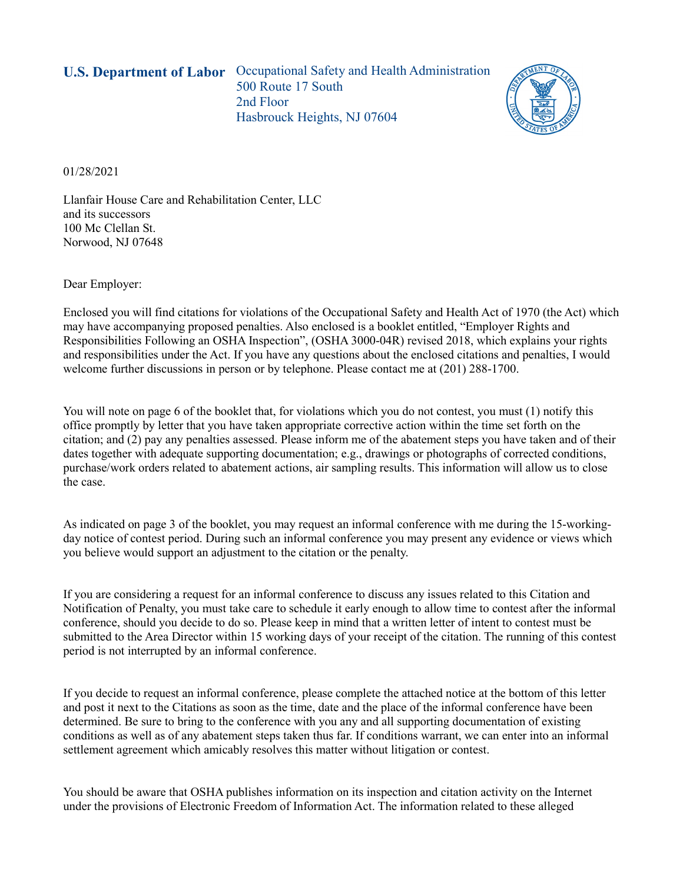**U.S. Department of Labor** Occupational Safety and Health Administration 500 Route 17 South 2nd Floor Hasbrouck Heights, NJ 07604



01/28/2021

Llanfair House Care and Rehabilitation Center, LLC and its successors 100 Mc Clellan St. Norwood, NJ 07648

Dear Employer:

Enclosed you will find citations for violations of the Occupational Safety and Health Act of 1970 (the Act) which may have accompanying proposed penalties. Also enclosed is a booklet entitled, "Employer Rights and Responsibilities Following an OSHA Inspection", (OSHA 3000-04R) revised 2018, which explains your rights and responsibilities under the Act. If you have any questions about the enclosed citations and penalties, I would welcome further discussions in person or by telephone. Please contact me at (201) 288-1700.

You will note on page 6 of the booklet that, for violations which you do not contest, you must (1) notify this office promptly by letter that you have taken appropriate corrective action within the time set forth on the citation; and (2) pay any penalties assessed. Please inform me of the abatement steps you have taken and of their dates together with adequate supporting documentation; e.g., drawings or photographs of corrected conditions, purchase/work orders related to abatement actions, air sampling results. This information will allow us to close the case.

As indicated on page 3 of the booklet, you may request an informal conference with me during the 15-workingday notice of contest period. During such an informal conference you may present any evidence or views which you believe would support an adjustment to the citation or the penalty.

If you are considering a request for an informal conference to discuss any issues related to this Citation and Notification of Penalty, you must take care to schedule it early enough to allow time to contest after the informal conference, should you decide to do so. Please keep in mind that a written letter of intent to contest must be submitted to the Area Director within 15 working days of your receipt of the citation. The running of this contest period is not interrupted by an informal conference.

If you decide to request an informal conference, please complete the attached notice at the bottom of this letter and post it next to the Citations as soon as the time, date and the place of the informal conference have been determined. Be sure to bring to the conference with you any and all supporting documentation of existing conditions as well as of any abatement steps taken thus far. If conditions warrant, we can enter into an informal settlement agreement which amicably resolves this matter without litigation or contest.

You should be aware that OSHA publishes information on its inspection and citation activity on the Internet under the provisions of Electronic Freedom of Information Act. The information related to these alleged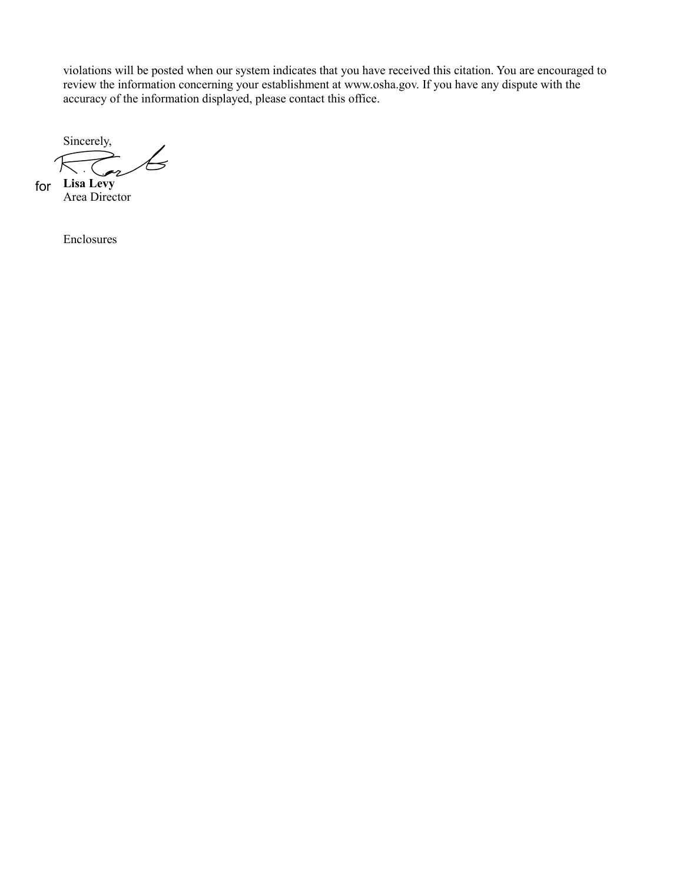violations will be posted when our system indicates that you have received this citation. You are encouraged to review the information concerning your establishment at [www.osha.gov.](http://www.osha.gov/) If you have any dispute with the accuracy of the information displayed, please contact this office.

Sincerely, **Lisa Levy** for

Area Director

Enclosures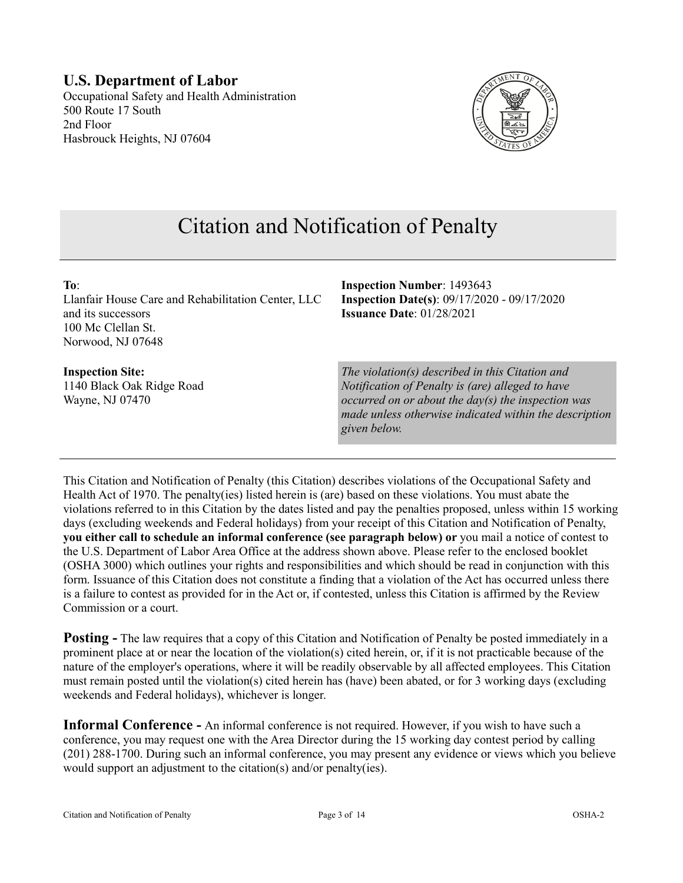#### **U.S. Department of Labor** Occupational Safety and Health Administration

500 Route 17 South 2nd Floor Hasbrouck Heights, NJ 07604



# Citation and Notification of Penalty

| To:<br>Llanfair House Care and Rehabilitation Center, LLC<br>and its successors<br>100 Mc Clellan St.<br>Norwood, NJ 07648 | <b>Inspection Number: 1493643</b><br><b>Inspection Date(s): 09/17/2020 - 09/17/2020</b><br>Issuance Date: 01/28/2021                                                                                                             |
|----------------------------------------------------------------------------------------------------------------------------|----------------------------------------------------------------------------------------------------------------------------------------------------------------------------------------------------------------------------------|
| <b>Inspection Site:</b><br>1140 Black Oak Ridge Road<br>Wayne, NJ 07470                                                    | The violation(s) described in this Citation and<br>Notification of Penalty is (are) alleged to have<br>occurred on or about the day(s) the inspection was<br>made unless otherwise indicated within the descrip.<br>given below. |

This Citation and Notification of Penalty (this Citation) describes violations of the Occupational Safety and Health Act of 1970. The penalty(ies) listed herein is (are) based on these violations. You must abate the violations referred to in this Citation by the dates listed and pay the penalties proposed, unless within 15 working days (excluding weekends and Federal holidays) from your receipt of this Citation and Notification of Penalty, **you either call to schedule an informal conference (see paragraph below) or** you mail a notice of contest to the U.S. Department of Labor Area Office at the address shown above. Please refer to the enclosed booklet (OSHA 3000) which outlines your rights and responsibilities and which should be read in conjunction with this form. Issuance of this Citation does not constitute a finding that a violation of the Act has occurred unless there is a failure to contest as provided for in the Act or, if contested, unless this Citation is affirmed by the Review Commission or a court.

**Posting -** The law requires that a copy of this Citation and Notification of Penalty be posted immediately in a prominent place at or near the location of the violation(s) cited herein, or, if it is not practicable because of the nature of the employer's operations, where it will be readily observable by all affected employees. This Citation must remain posted until the violation(s) cited herein has (have) been abated, or for 3 working days (excluding weekends and Federal holidays), whichever is longer.

**Informal Conference -** An informal conference is not required. However, if you wish to have such a conference, you may request one with the Area Director during the 15 working day contest period by calling (201) 288-1700. During such an informal conference, you may present any evidence or views which you believe would support an adjustment to the citation(s) and/or penalty(ies).

*scription*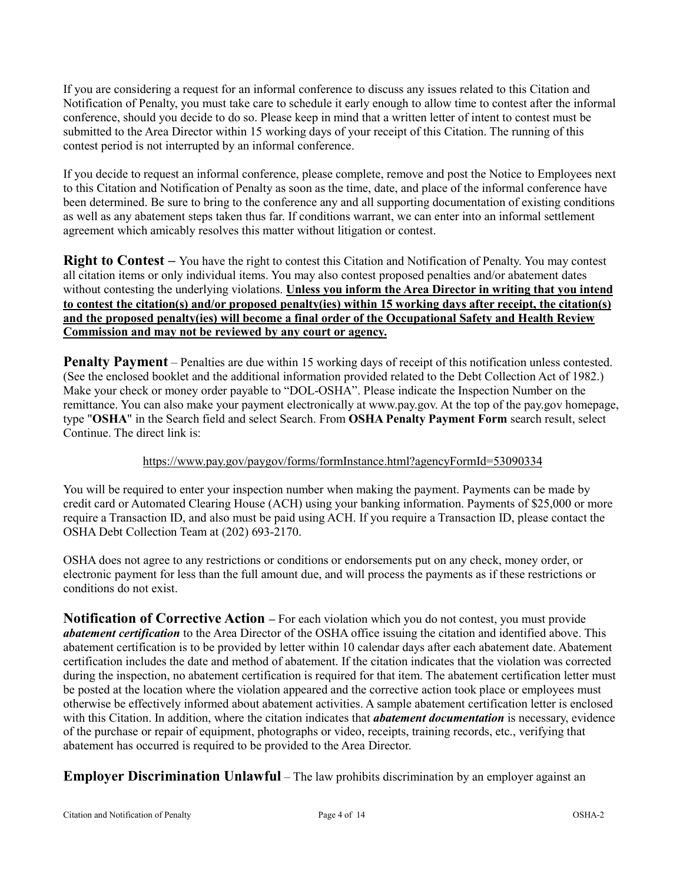If you are considering a request for an informal conference to discuss any issues related to this Citation and Notification of Penalty, you must take care to schedule it early enough to allow time to contest after the informal conference, should you decide to do so. Please keep in mind that a written letter of intent to contest must be submitted to the Area Director within 15 working days of your receipt of this Citation. The running of this contest period is not interrupted by an informal conference.

If you decide to request an informal conference, please complete, remove and post the Notice to Employees next to this Citation and Notification of Penalty as soon as the time, date, and place of the informal conference have been determined. Be sure to bring to the conference any and all supporting documentation of existing conditions as well as any abatement steps taken thus far. If conditions warrant, we can enter into an informal settlement agreement which amicably resolves this matter without litigation or contest.

**Right to Contest** – You have the right to contest this Citation and Notification of Penalty. You may contest all citation items or only individual items. You may also contest proposed penalties and/or abatement dates without contesting the underlying violations. **Unless you inform the Area Director in writing that you intend to contest the citation(s) and/or proposed penalty(ies) within 15 working days after receipt, the citation(s) and the proposed penalty(ies) will become a final order of the Occupational Safety and Health Review Commission and may not be reviewed by any court or agency.**

**Penalty Payment** – Penalties are due within 15 working days of receipt of this notification unless contested. (See the enclosed booklet and the additional information provided related to the Debt Collection Act of 1982.) Make your check or money order payable to "DOL-OSHA". Please indicate the Inspection Number on the remittance. You can also make your payment electronically at [www.pay.gov.](https://www.pay.gov/) At the top of the pay.gov homepage, type "**OSHA**" in the Search field and select Search. From **OSHA Penalty Payment Form** search result, select Continue. The direct link is:

#### <https://www.pay.gov/paygov/forms/formInstance.html?agencyFormId=53090334>

You will be required to enter your inspection number when making the payment. Payments can be made by credit card or Automated Clearing House (ACH) using your banking information. Payments of \$25,000 or more require a Transaction ID, and also must be paid using ACH. If you require a Transaction ID, please contact the OSHA Debt Collection Team at (202) 693-2170.

OSHA does not agree to any restrictions or conditions or endorsements put on any check, money order, or electronic payment for less than the full amount due, and will process the payments as if these restrictions or conditions do not exist.

**Notification of Corrective Action –** For each violation which you do not contest, you must provide *abatement certification* to the Area Director of the OSHA office issuing the citation and identified above. This abatement certification is to be provided by letter within 10 calendar days after each abatement date. Abatement certification includes the date and method of abatement. If the citation indicates that the violation was corrected during the inspection, no abatement certification is required for that item. The abatement certification letter must be posted at the location where the violation appeared and the corrective action took place or employees must otherwise be effectively informed about abatement activities. A sample abatement certification letter is enclosed with this Citation. In addition, where the citation indicates that *abatement documentation* is necessary, evidence of the purchase or repair of equipment, photographs or video, receipts, training records, etc., verifying that abatement has occurred is required to be provided to the Area Director.

**Employer Discrimination Unlawful** – The law prohibits discrimination by an employer against an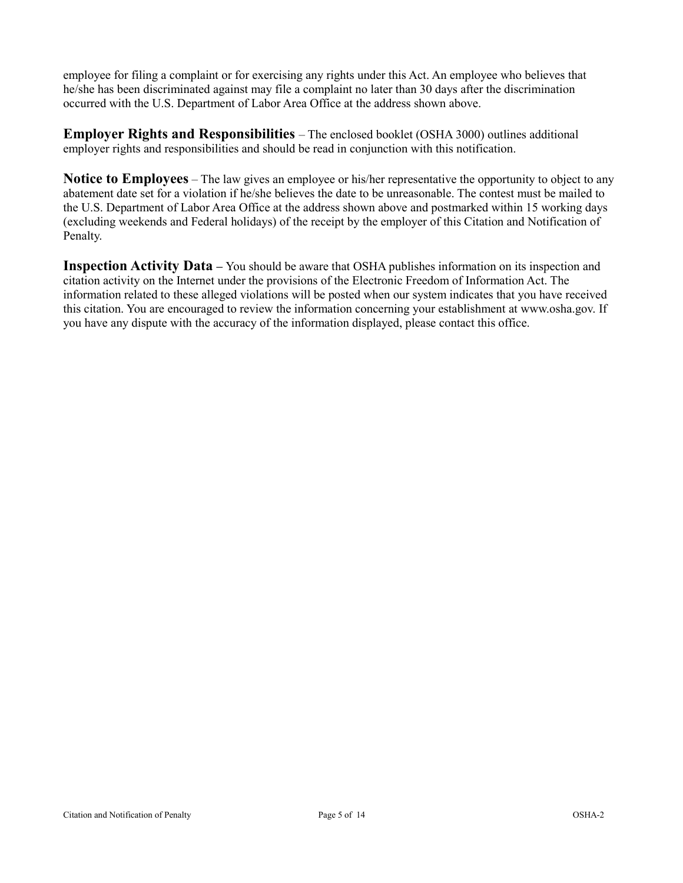employee for filing a complaint or for exercising any rights under this Act. An employee who believes that he/she has been discriminated against may file a complaint no later than 30 days after the discrimination occurred with the U.S. Department of Labor Area Office at the address shown above.

**Employer Rights and Responsibilities** – The enclosed booklet (OSHA 3000) outlines additional employer rights and responsibilities and should be read in conjunction with this notification.

**Notice to Employees** – The law gives an employee or his/her representative the opportunity to object to any abatement date set for a violation if he/she believes the date to be unreasonable. The contest must be mailed to the U.S. Department of Labor Area Office at the address shown above and postmarked within 15 working days (excluding weekends and Federal holidays) of the receipt by the employer of this Citation and Notification of Penalty.

**Inspection Activity Data –** You should be aware that OSHA publishes information on its inspection and citation activity on the Internet under the provisions of the Electronic Freedom of Information Act. The information related to these alleged violations will be posted when our system indicates that you have received this citation. You are encouraged to review the information concerning your establishment at www.osha.gov. If you have any dispute with the accuracy of the information displayed, please contact this office.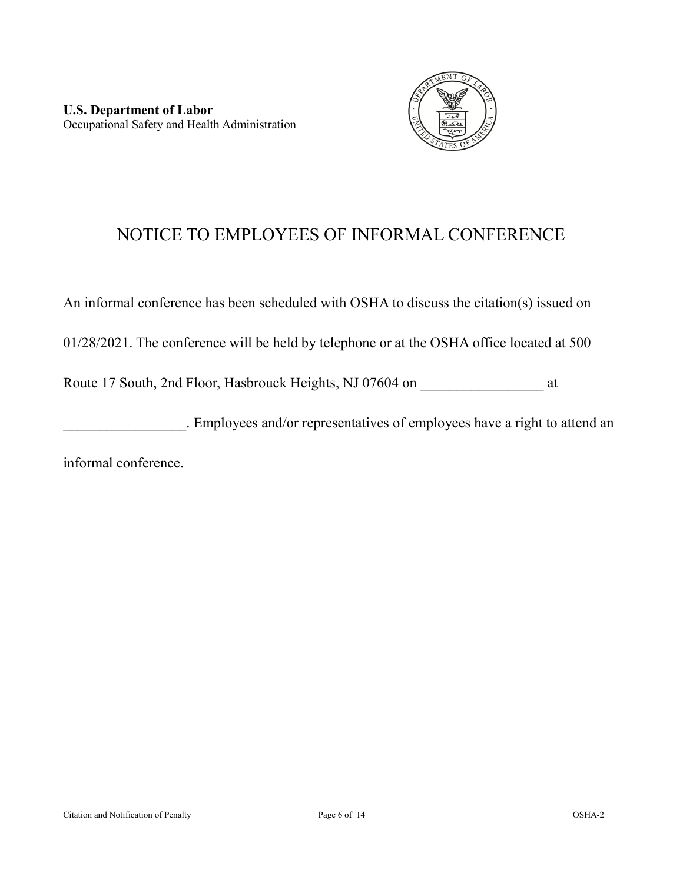

# NOTICE TO EMPLOYEES OF INFORMAL CONFERENCE

An informal conference has been scheduled with OSHA to discuss the citation(s) issued on

01/28/2021. The conference will be held by telephone or at the OSHA office located at 500

Route 17 South, 2nd Floor, Hasbrouck Heights, NJ 07604 on \_\_\_\_\_\_\_\_\_\_\_\_\_\_\_\_\_\_\_\_ at

\_\_\_\_\_\_\_\_\_\_\_\_\_\_\_\_\_. Employees and/or representatives of employees have a right to attend an

informal conference.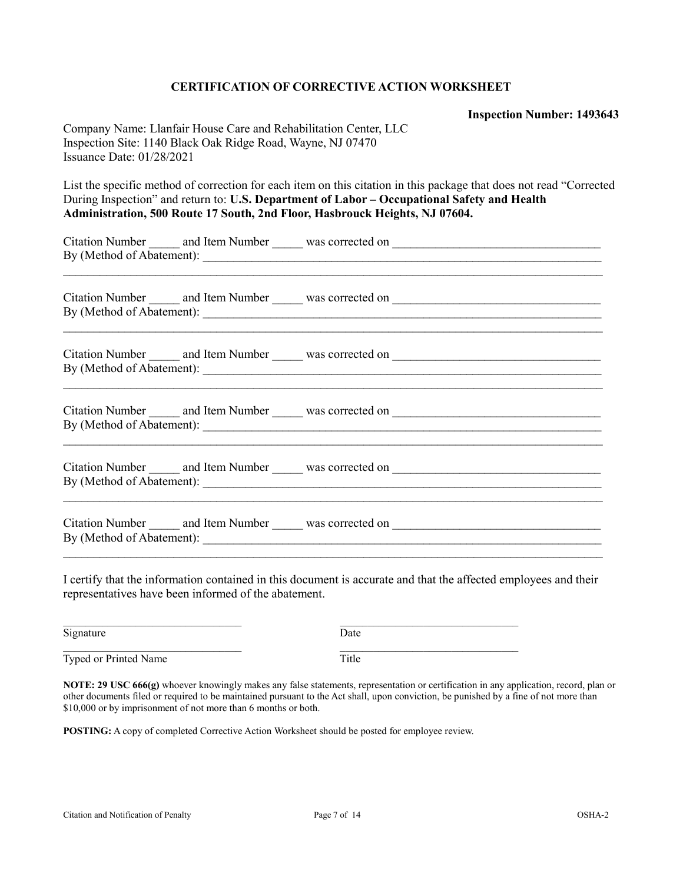#### **CERTIFICATION OF CORRECTIVE ACTION WORKSHEET**

**Inspection Number: 1493643**

Company Name: Llanfair House Care and Rehabilitation Center, LLC Inspection Site: 1140 Black Oak Ridge Road, Wayne, NJ 07470 Issuance Date: 01/28/2021

List the specific method of correction for each item on this citation in this package that does not read "Corrected During Inspection" and return to: **U.S. Department of Labor – Occupational Safety and Health Administration, 500 Route 17 South, 2nd Floor, Hasbrouck Heights, NJ 07604.**

|  | Citation Number and Item Number was corrected on ________________________________ |  |  |  |
|--|-----------------------------------------------------------------------------------|--|--|--|
|  |                                                                                   |  |  |  |
|  |                                                                                   |  |  |  |
|  |                                                                                   |  |  |  |
|  | By (Method of Abatement):                                                         |  |  |  |
|  |                                                                                   |  |  |  |
|  |                                                                                   |  |  |  |
|  |                                                                                   |  |  |  |
|  |                                                                                   |  |  |  |
|  |                                                                                   |  |  |  |
|  |                                                                                   |  |  |  |
|  | ,一个人的人都是一个人的人,我们就是一个人的人,我们就是一个人的人,我们就是一个人的人,我们就是一个人的人,我们就是一个人的人,我们就是一个人的人,我们就是一个人 |  |  |  |
|  |                                                                                   |  |  |  |
|  |                                                                                   |  |  |  |
|  |                                                                                   |  |  |  |
|  |                                                                                   |  |  |  |
|  |                                                                                   |  |  |  |
|  |                                                                                   |  |  |  |

I certify that the information contained in this document is accurate and that the affected employees and their representatives have been informed of the abatement.

| Signature             | Date  |
|-----------------------|-------|
| Typed or Printed Name | Title |

**NOTE: 29 USC 666(g)** whoever knowingly makes any false statements, representation or certification in any application, record, plan or other documents filed or required to be maintained pursuant to the Act shall, upon conviction, be punished by a fine of not more than \$10,000 or by imprisonment of not more than 6 months or both.

**POSTING:** A copy of completed Corrective Action Worksheet should be posted for employee review.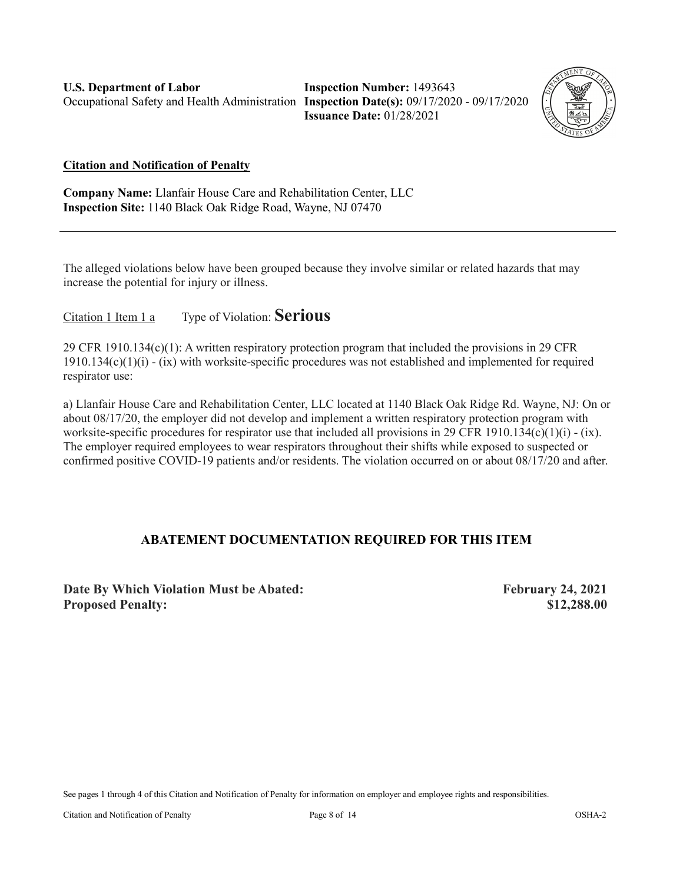**Inspection Number:** 1493643 **Issuance Date:** 01/28/2021



#### **Citation and Notification of Penalty**

**Company Name:** Llanfair House Care and Rehabilitation Center, LLC **Inspection Site:** 1140 Black Oak Ridge Road, Wayne, NJ 07470

The alleged violations below have been grouped because they involve similar or related hazards that may increase the potential for injury or illness.

Citation 1 Item 1 a Type of Violation: **Serious**

29 CFR 1910.134(c)(1): A written respiratory protection program that included the provisions in 29 CFR  $1910.134(c)(1)(i) - (ix)$  with worksite-specific procedures was not established and implemented for required respirator use:

a) Llanfair House Care and Rehabilitation Center, LLC located at 1140 Black Oak Ridge Rd. Wayne, NJ: On or about 08/17/20, the employer did not develop and implement a written respiratory protection program with worksite-specific procedures for respirator use that included all provisions in 29 CFR 1910.134(c)(1)(i) - (ix). The employer required employees to wear respirators throughout their shifts while exposed to suspected or confirmed positive COVID-19 patients and/or residents. The violation occurred on or about 08/17/20 and after.

### **ABATEMENT DOCUMENTATION REQUIRED FOR THIS ITEM**

**Date By Which Violation Must be Abated: February 24, 2021 Proposed Penalty: \$12,288.00**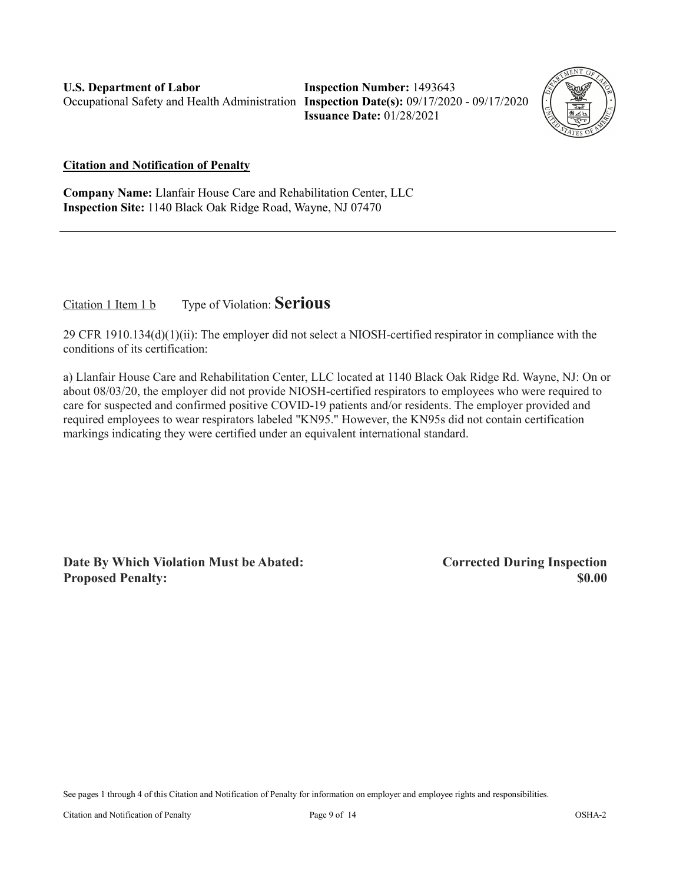**Inspection Number:** 1493643 **Issuance Date:** 01/28/2021



**Citation and Notification of Penalty**

**Company Name:** Llanfair House Care and Rehabilitation Center, LLC **Inspection Site:** 1140 Black Oak Ridge Road, Wayne, NJ 07470

Citation 1 Item 1 b Type of Violation: **Serious**

29 CFR 1910.134(d)(1)(ii): The employer did not select a NIOSH-certified respirator in compliance with the conditions of its certification:

a) Llanfair House Care and Rehabilitation Center, LLC located at 1140 Black Oak Ridge Rd. Wayne, NJ: On or about 08/03/20, the employer did not provide NIOSH-certified respirators to employees who were required to care for suspected and confirmed positive COVID-19 patients and/or residents. The employer provided and required employees to wear respirators labeled "KN95." However, the KN95s did not contain certification markings indicating they were certified under an equivalent international standard.

**Date By Which Violation Must be Abated: Corrected During Inspection Proposed Penalty: \$0.00**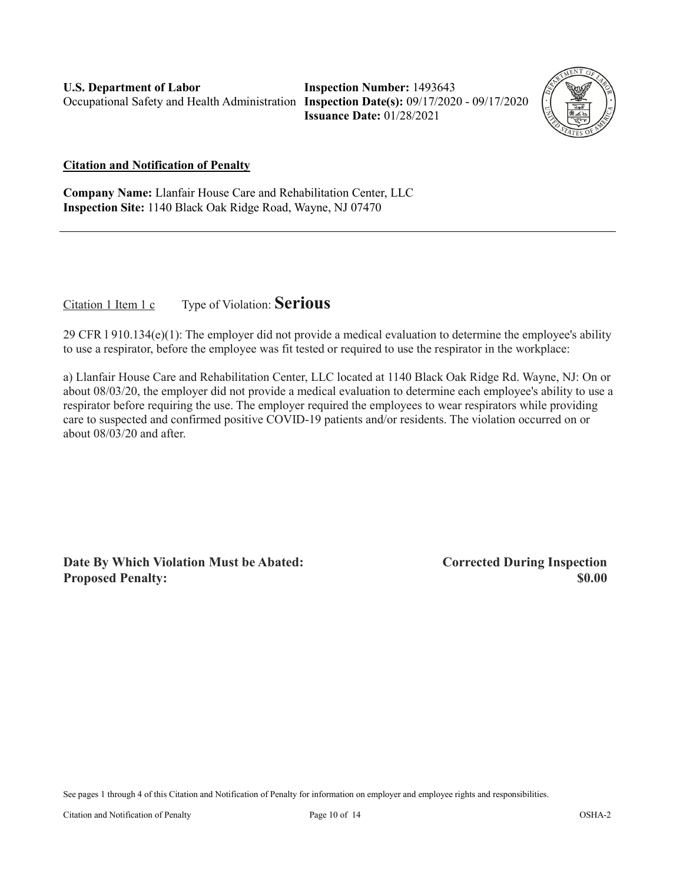**Inspection Number:** 1493643 **Issuance Date:** 01/28/2021



#### **Citation and Notification of Penalty**

**Company Name:** Llanfair House Care and Rehabilitation Center, LLC **Inspection Site:** 1140 Black Oak Ridge Road, Wayne, NJ 07470

Citation 1 Item 1 c Type of Violation: **Serious**

29 CFR l 910.134(e)(1): The employer did not provide a medical evaluation to determine the employee's ability to use a respirator, before the employee was fit tested or required to use the respirator in the workplace:

a) Llanfair House Care and Rehabilitation Center, LLC located at 1140 Black Oak Ridge Rd. Wayne, NJ: On or about 08/03/20, the employer did not provide a medical evaluation to determine each employee's ability to use a respirator before requiring the use. The employer required the employees to wear respirators while providing care to suspected and confirmed positive COVID-19 patients and/or residents. The violation occurred on or about 08/03/20 and after.

**Date By Which Violation Must be Abated: Corrected During Inspection Proposed Penalty: \$0.00**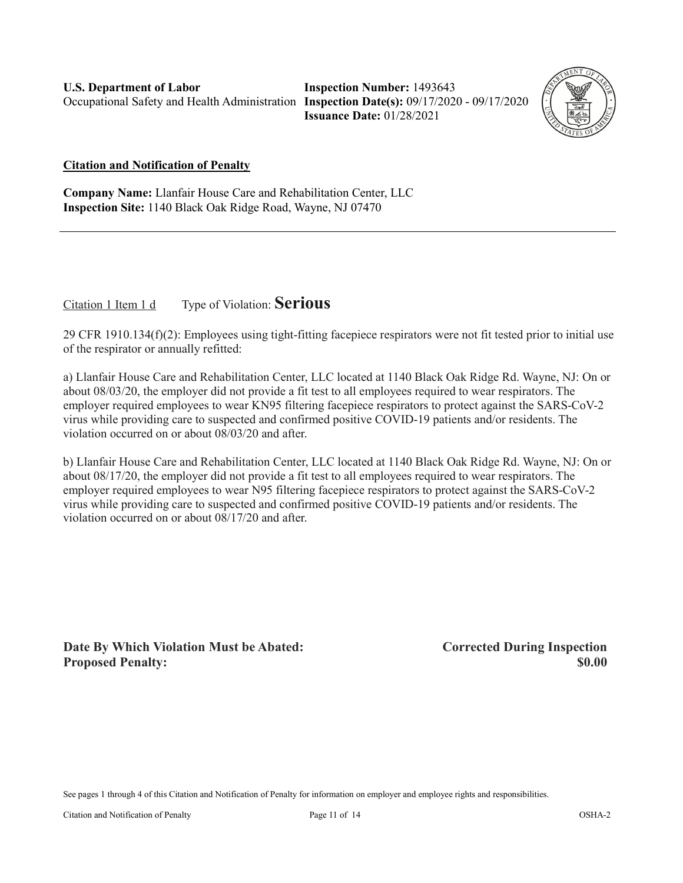**Inspection Number:** 1493643 **Issuance Date:** 01/28/2021



#### **Citation and Notification of Penalty**

**Company Name:** Llanfair House Care and Rehabilitation Center, LLC **Inspection Site:** 1140 Black Oak Ridge Road, Wayne, NJ 07470

Citation 1 Item 1 d Type of Violation: **Serious**

29 CFR 1910.134(f)(2): Employees using tight-fitting facepiece respirators were not fit tested prior to initial use of the respirator or annually refitted:

a) Llanfair House Care and Rehabilitation Center, LLC located at 1140 Black Oak Ridge Rd. Wayne, NJ: On or about 08/03/20, the employer did not provide a fit test to all employees required to wear respirators. The employer required employees to wear KN95 filtering facepiece respirators to protect against the SARS-CoV-2 virus while providing care to suspected and confirmed positive COVID-19 patients and/or residents. The violation occurred on or about 08/03/20 and after.

b) Llanfair House Care and Rehabilitation Center, LLC located at 1140 Black Oak Ridge Rd. Wayne, NJ: On or about 08/17/20, the employer did not provide a fit test to all employees required to wear respirators. The employer required employees to wear N95 filtering facepiece respirators to protect against the SARS-CoV-2 virus while providing care to suspected and confirmed positive COVID-19 patients and/or residents. The violation occurred on or about 08/17/20 and after.

**Date By Which Violation Must be Abated: Corrected During Inspection Proposed Penalty:** \$0.00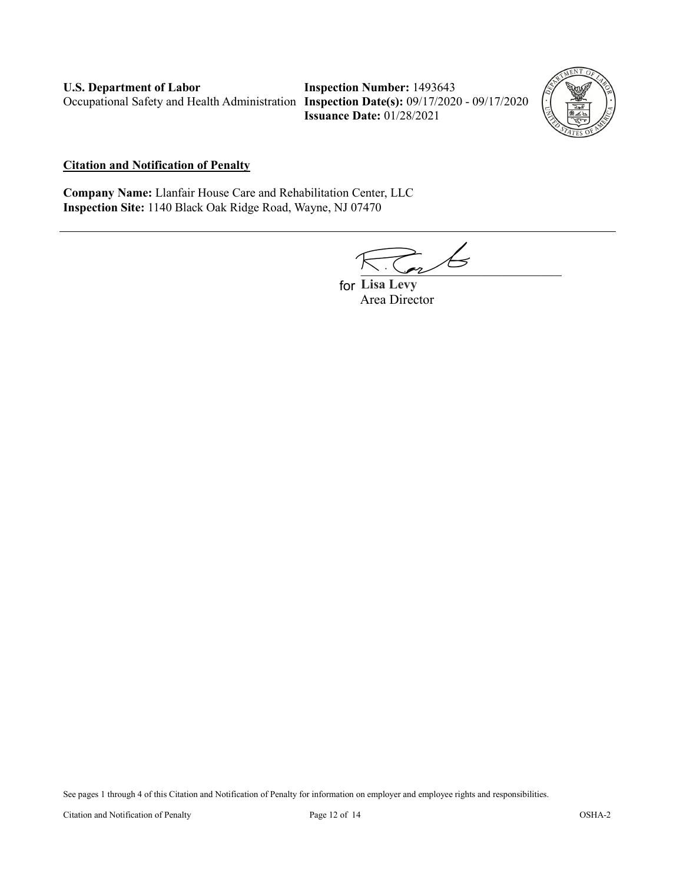**Inspection Number:** 1493643 **Issuance Date:** 01/28/2021



#### **Citation and Notification of Penalty**

**Company Name:** Llanfair House Care and Rehabilitation Center, LLC **Inspection Site:** 1140 Black Oak Ridge Road, Wayne, NJ 07470

 $\overline{\phantom{a}}$ 

**Lisa Levy**  forArea Director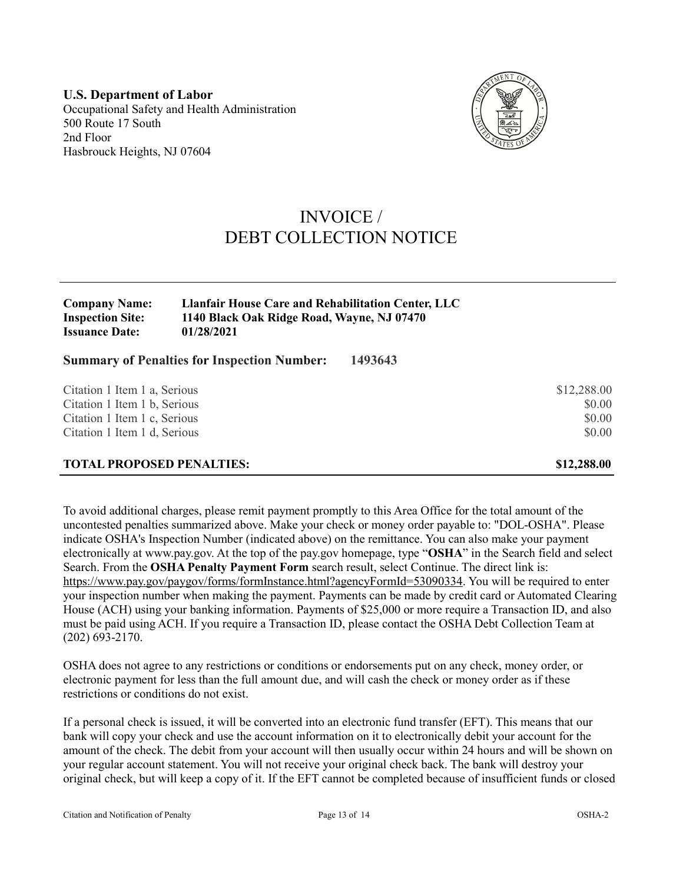**U.S. Department of Labor** Occupational Safety and Health Administration 500 Route 17 South 2nd Floor Hasbrouck Heights, NJ 07604



## INVOICE / DEBT COLLECTION NOTICE

| <b>Company Name:</b>    | <b>Llanfair House Care and Rehabilitation Center, LLC</b> |
|-------------------------|-----------------------------------------------------------|
| <b>Inspection Site:</b> | 1140 Black Oak Ridge Road, Wayne, NJ 07470                |
| <b>Issuance Date:</b>   | 01/28/2021                                                |

**Summary of Penalties for Inspection Number: 1493643**

| \$12,288.00 |
|-------------|
| \$0.00      |
| \$0.00      |
| \$0.00      |
| \$12,288.00 |
|             |

To avoid additional charges, please remit payment promptly to this Area Office for the total amount of the uncontested penalties summarized above. Make your check or money order payable to: "DOL-OSHA". Please indicate OSHA's Inspection Number (indicated above) on the remittance. You can also make your payment electronically at [www.pay.gov.](https://www.pay.gov/) At the top of the pay.gov homepage, type "**OSHA**" in the Search field and select Search. From the **OSHA Penalty Payment Form** search result, select Continue. The direct link is: [https://www.pay.gov/paygov/forms/formInstance.html?agencyFormId=53090334.](https://www.pay.gov/paygov/forms/formInstance.html?agencyFormId=53090334) You will be required to enter your inspection number when making the payment. Payments can be made by credit card or Automated Clearing House (ACH) using your banking information. Payments of \$25,000 or more require a Transaction ID, and also must be paid using ACH. If you require a Transaction ID, please contact the OSHA Debt Collection Team at (202) 693-2170.

OSHA does not agree to any restrictions or conditions or endorsements put on any check, money order, or electronic payment for less than the full amount due, and will cash the check or money order as if these restrictions or conditions do not exist.

If a personal check is issued, it will be converted into an electronic fund transfer (EFT). This means that our bank will copy your check and use the account information on it to electronically debit your account for the amount of the check. The debit from your account will then usually occur within 24 hours and will be shown on your regular account statement. You will not receive your original check back. The bank will destroy your original check, but will keep a copy of it. If the EFT cannot be completed because of insufficient funds or closed